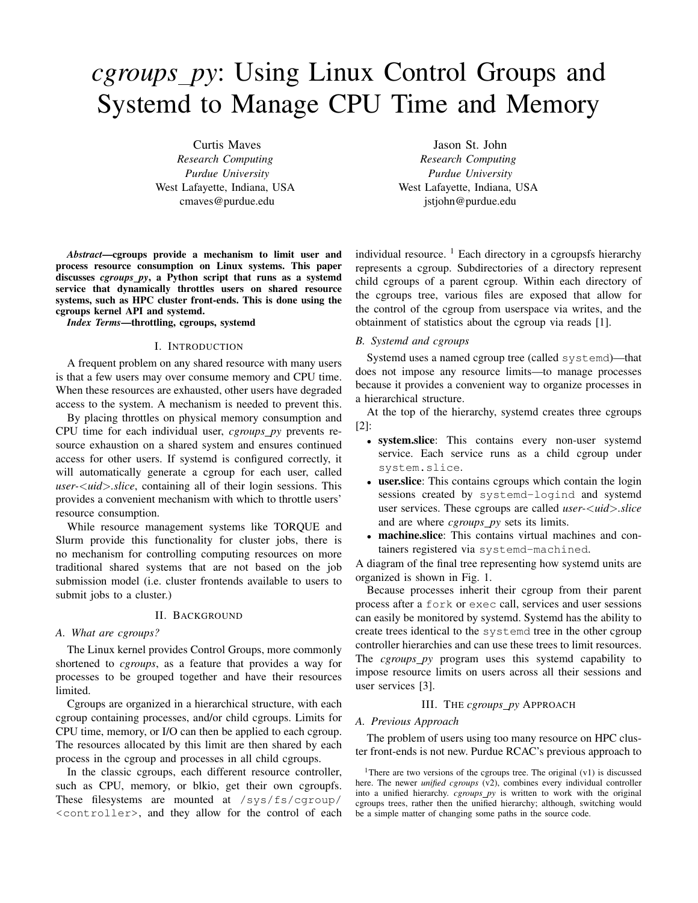# *cgroups py*: Using Linux Control Groups and Systemd to Manage CPU Time and Memory

Curtis Maves *Research Computing Purdue University* West Lafayette, Indiana, USA cmaves@purdue.edu

*Abstract*—cgroups provide a mechanism to limit user and process resource consumption on Linux systems. This paper discusses *cgroups py*, a Python script that runs as a systemd service that dynamically throttles users on shared resource systems, such as HPC cluster front-ends. This is done using the cgroups kernel API and systemd.

*Index Terms*—throttling, cgroups, systemd

## I. INTRODUCTION

A frequent problem on any shared resource with many users is that a few users may over consume memory and CPU time. When these resources are exhausted, other users have degraded access to the system. A mechanism is needed to prevent this.

By placing throttles on physical memory consumption and CPU time for each individual user, *cgroups py* prevents resource exhaustion on a shared system and ensures continued access for other users. If systemd is configured correctly, it will automatically generate a cgroup for each user, called *user-*<*uid*>*.slice*, containing all of their login sessions. This provides a convenient mechanism with which to throttle users' resource consumption.

While resource management systems like TORQUE and Slurm provide this functionality for cluster jobs, there is no mechanism for controlling computing resources on more traditional shared systems that are not based on the job submission model (i.e. cluster frontends available to users to submit jobs to a cluster.)

# II. BACKGROUND

# *A. What are cgroups?*

The Linux kernel provides Control Groups, more commonly shortened to *cgroups*, as a feature that provides a way for processes to be grouped together and have their resources limited.

Cgroups are organized in a hierarchical structure, with each cgroup containing processes, and/or child cgroups. Limits for CPU time, memory, or I/O can then be applied to each cgroup. The resources allocated by this limit are then shared by each process in the cgroup and processes in all child cgroups.

In the classic cgroups, each different resource controller, such as CPU, memory, or blkio, get their own cgroupfs. These filesystems are mounted at /sys/fs/cgroup/ <controller>, and they allow for the control of each

Jason St. John *Research Computing Purdue University* West Lafayette, Indiana, USA jstjohn@purdue.edu

individual resource.  $\frac{1}{1}$  Each directory in a cgroupsfs hierarchy represents a cgroup. Subdirectories of a directory represent child cgroups of a parent cgroup. Within each directory of the cgroups tree, various files are exposed that allow for the control of the cgroup from userspace via writes, and the obtainment of statistics about the cgroup via reads [1].

## *B. Systemd and cgroups*

Systemd uses a named cgroup tree (called systemd)—that does not impose any resource limits—to manage processes because it provides a convenient way to organize processes in a hierarchical structure.

At the top of the hierarchy, systemd creates three cgroups [2]:

- system.slice: This contains every non-user systemd service. Each service runs as a child cgroup under system.slice.
- user.slice: This contains cgroups which contain the login sessions created by systemd-logind and systemd user services. These cgroups are called *user-*<*uid*>*.slice* and are where *cgroups py* sets its limits.
- machine.slice: This contains virtual machines and containers registered via systemd-machined.

A diagram of the final tree representing how systemd units are organized is shown in Fig. 1.

Because processes inherit their cgroup from their parent process after a fork or exec call, services and user sessions can easily be monitored by systemd. Systemd has the ability to create trees identical to the systemd tree in the other cgroup controller hierarchies and can use these trees to limit resources. The *cgroups\_py* program uses this systemd capability to impose resource limits on users across all their sessions and user services [3].

# III. THE *cgroups py* APPROACH

#### *A. Previous Approach*

The problem of users using too many resource on HPC cluster front-ends is not new. Purdue RCAC's previous approach to

<sup>1</sup>There are two versions of the cgroups tree. The original  $(v1)$  is discussed here. The newer *unified cgroups* (v2), combines every individual controller into a unified hierarchy. *cgroups py* is written to work with the original cgroups trees, rather then the unified hierarchy; although, switching would be a simple matter of changing some paths in the source code.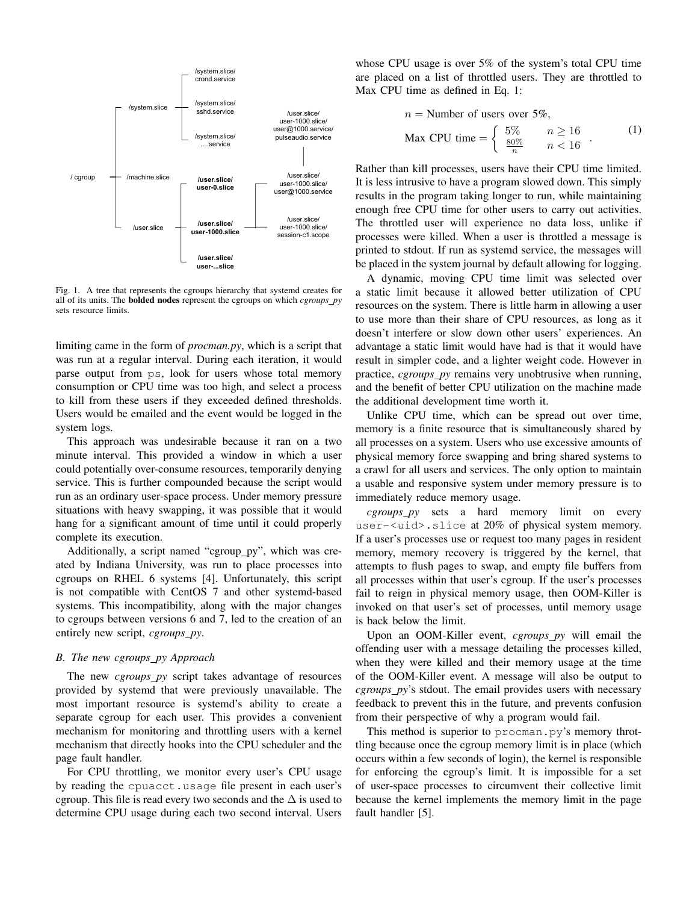

Fig. 1. A tree that represents the cgroups hierarchy that systemd creates for all of its units. The bolded nodes represent the cgroups on which *cgroups py* sets resource limits.

limiting came in the form of *procman.py*, which is a script that was run at a regular interval. During each iteration, it would parse output from ps, look for users whose total memory consumption or CPU time was too high, and select a process to kill from these users if they exceeded defined thresholds. Users would be emailed and the event would be logged in the system logs.

This approach was undesirable because it ran on a two minute interval. This provided a window in which a user could potentially over-consume resources, temporarily denying service. This is further compounded because the script would run as an ordinary user-space process. Under memory pressure situations with heavy swapping, it was possible that it would hang for a significant amount of time until it could properly complete its execution.

Additionally, a script named "cgroup\_py", which was created by Indiana University, was run to place processes into cgroups on RHEL 6 systems [4]. Unfortunately, this script is not compatible with CentOS 7 and other systemd-based systems. This incompatibility, along with the major changes to cgroups between versions 6 and 7, led to the creation of an entirely new script, *cgroups py*.

### *B. The new cgroups py Approach*

The new *cgroups\_py* script takes advantage of resources provided by systemd that were previously unavailable. The most important resource is systemd's ability to create a separate cgroup for each user. This provides a convenient mechanism for monitoring and throttling users with a kernel mechanism that directly hooks into the CPU scheduler and the page fault handler.

For CPU throttling, we monitor every user's CPU usage by reading the cpuacct.usage file present in each user's cgroup. This file is read every two seconds and the  $\Delta$  is used to determine CPU usage during each two second interval. Users

whose CPU usage is over 5% of the system's total CPU time are placed on a list of throttled users. They are throttled to Max CPU time as defined in Eq. 1:

$$
n = \text{Number of users over } 5\%,
$$
\n
$$
\text{Max CPU time} = \begin{cases} 5\% & n \ge 16 \\ \frac{80\%}{n} & n < 16 \end{cases} \tag{1}
$$

Rather than kill processes, users have their CPU time limited. It is less intrusive to have a program slowed down. This simply results in the program taking longer to run, while maintaining enough free CPU time for other users to carry out activities. The throttled user will experience no data loss, unlike if processes were killed. When a user is throttled a message is printed to stdout. If run as systemd service, the messages will be placed in the system journal by default allowing for logging.

A dynamic, moving CPU time limit was selected over a static limit because it allowed better utilization of CPU resources on the system. There is little harm in allowing a user to use more than their share of CPU resources, as long as it doesn't interfere or slow down other users' experiences. An advantage a static limit would have had is that it would have result in simpler code, and a lighter weight code. However in practice, *cgroups\_py* remains very unobtrusive when running, and the benefit of better CPU utilization on the machine made the additional development time worth it.

Unlike CPU time, which can be spread out over time, memory is a finite resource that is simultaneously shared by all processes on a system. Users who use excessive amounts of physical memory force swapping and bring shared systems to a crawl for all users and services. The only option to maintain a usable and responsive system under memory pressure is to immediately reduce memory usage.

*cgroups py* sets a hard memory limit on every user-<uid>.slice at 20% of physical system memory. If a user's processes use or request too many pages in resident memory, memory recovery is triggered by the kernel, that attempts to flush pages to swap, and empty file buffers from all processes within that user's cgroup. If the user's processes fail to reign in physical memory usage, then OOM-Killer is invoked on that user's set of processes, until memory usage is back below the limit.

Upon an OOM-Killer event, *cgroups py* will email the offending user with a message detailing the processes killed, when they were killed and their memory usage at the time of the OOM-Killer event. A message will also be output to *cgroups py*'s stdout. The email provides users with necessary feedback to prevent this in the future, and prevents confusion from their perspective of why a program would fail.

This method is superior to procman.py's memory throttling because once the cgroup memory limit is in place (which occurs within a few seconds of login), the kernel is responsible for enforcing the cgroup's limit. It is impossible for a set of user-space processes to circumvent their collective limit because the kernel implements the memory limit in the page fault handler [5].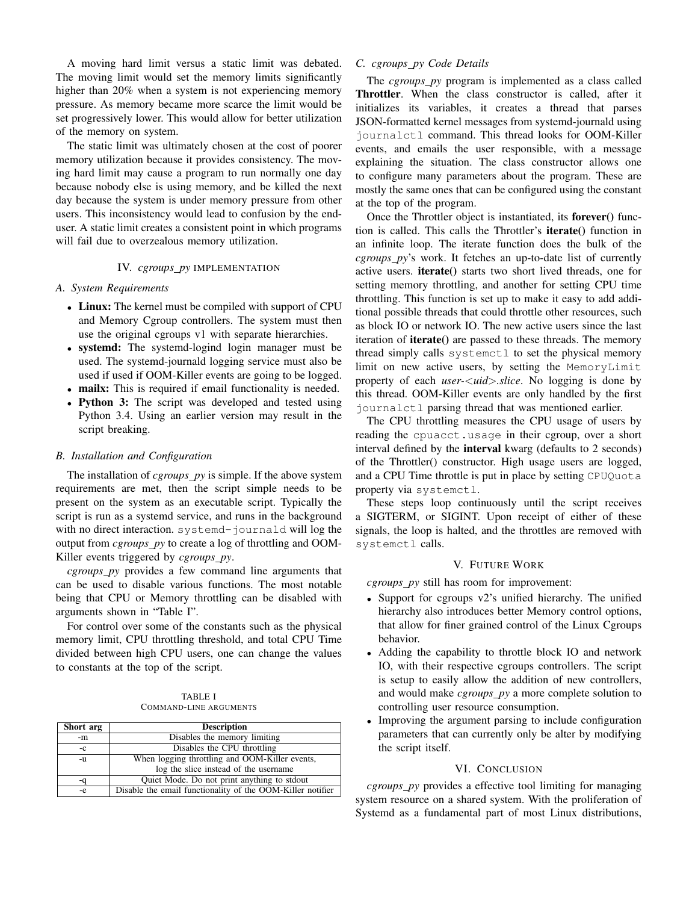A moving hard limit versus a static limit was debated. The moving limit would set the memory limits significantly higher than 20% when a system is not experiencing memory pressure. As memory became more scarce the limit would be set progressively lower. This would allow for better utilization of the memory on system.

The static limit was ultimately chosen at the cost of poorer memory utilization because it provides consistency. The moving hard limit may cause a program to run normally one day because nobody else is using memory, and be killed the next day because the system is under memory pressure from other users. This inconsistency would lead to confusion by the enduser. A static limit creates a consistent point in which programs will fail due to overzealous memory utilization.

#### IV. *cgroups py* IMPLEMENTATION

# *A. System Requirements*

- Linux: The kernel must be compiled with support of CPU and Memory Cgroup controllers. The system must then use the original cgroups v1 with separate hierarchies.
- systemd: The systemd-logind login manager must be used. The systemd-journald logging service must also be used if used if OOM-Killer events are going to be logged.
- mailx: This is required if email functionality is needed.
- Python 3: The script was developed and tested using Python 3.4. Using an earlier version may result in the script breaking.

## *B. Installation and Configuration*

The installation of *cgroups py* is simple. If the above system requirements are met, then the script simple needs to be present on the system as an executable script. Typically the script is run as a systemd service, and runs in the background with no direct interaction. systemd-journald will log the output from *cgroups py* to create a log of throttling and OOM-Killer events triggered by *cgroups py*.

*cgroups py* provides a few command line arguments that can be used to disable various functions. The most notable being that CPU or Memory throttling can be disabled with arguments shown in "Table I".

For control over some of the constants such as the physical memory limit, CPU throttling threshold, and total CPU Time divided between high CPU users, one can change the values to constants at the top of the script.

TABLE I COMMAND-LINE ARGUMENTS

| Short arg | <b>Description</b>                                         |
|-----------|------------------------------------------------------------|
| -m        | Disables the memory limiting                               |
| $-c$      | Disables the CPU throttling                                |
| $-u$      | When logging throttling and OOM-Killer events,             |
|           | log the slice instead of the username                      |
|           | Quiet Mode. Do not print anything to stdout                |
| -e        | Disable the email functionality of the OOM-Killer notifier |

# *C. cgroups py Code Details*

The *cgroups py* program is implemented as a class called Throttler. When the class constructor is called, after it initializes its variables, it creates a thread that parses JSON-formatted kernel messages from systemd-journald using journalctl command. This thread looks for OOM-Killer events, and emails the user responsible, with a message explaining the situation. The class constructor allows one to configure many parameters about the program. These are mostly the same ones that can be configured using the constant at the top of the program.

Once the Throttler object is instantiated, its forever() function is called. This calls the Throttler's iterate() function in an infinite loop. The iterate function does the bulk of the *cgroups py*'s work. It fetches an up-to-date list of currently active users. iterate() starts two short lived threads, one for setting memory throttling, and another for setting CPU time throttling. This function is set up to make it easy to add additional possible threads that could throttle other resources, such as block IO or network IO. The new active users since the last iteration of iterate() are passed to these threads. The memory thread simply calls systemctl to set the physical memory limit on new active users, by setting the MemoryLimit property of each *user-*<*uid*>*.slice*. No logging is done by this thread. OOM-Killer events are only handled by the first journalctl parsing thread that was mentioned earlier.

The CPU throttling measures the CPU usage of users by reading the cpuacct.usage in their cgroup, over a short interval defined by the interval kwarg (defaults to 2 seconds) of the Throttler() constructor. High usage users are logged, and a CPU Time throttle is put in place by setting CPUQuota property via systemctl.

These steps loop continuously until the script receives a SIGTERM, or SIGINT. Upon receipt of either of these signals, the loop is halted, and the throttles are removed with systemctl calls.

# V. FUTURE WORK

*cgroups\_py* still has room for improvement:

- Support for cgroups v2's unified hierarchy. The unified hierarchy also introduces better Memory control options, that allow for finer grained control of the Linux Cgroups behavior.
- Adding the capability to throttle block IO and network IO, with their respective cgroups controllers. The script is setup to easily allow the addition of new controllers, and would make *cgroups py* a more complete solution to controlling user resource consumption.
- Improving the argument parsing to include configuration parameters that can currently only be alter by modifying the script itself.

# VI. CONCLUSION

*cgroups py* provides a effective tool limiting for managing system resource on a shared system. With the proliferation of Systemd as a fundamental part of most Linux distributions,